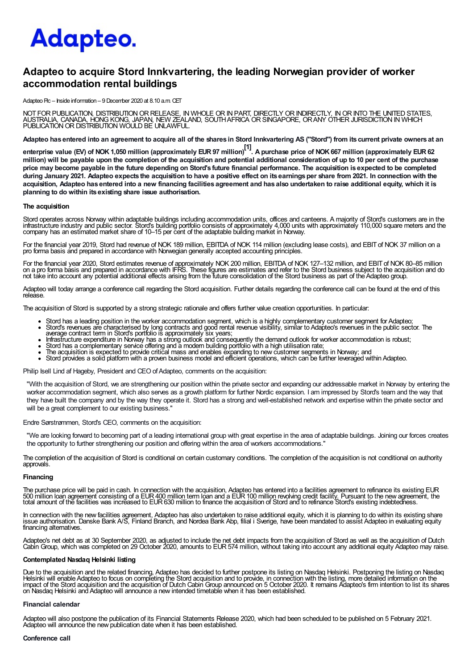# Adapteo.

## Adapteo to acquire Stord Innkvartering, the leading Norwegian provider of worker accommodation rental buildings

Adapteo Plc – Inside information – 9 December 2020 at 8.10 a.m. CET

NOT FOR PUBLICATION, DISTRIBUTION OR RELEASE, IN WHOLE OR IN PART, DIRECTLY OR INDIRECTLY, IN OR INTO THE UNITED STATES,<br>AUSTRALIA, CANADA, HONG KONG, JAPAN, NEW ZEALAND, SOUTH AFRICA OR SINGAPORE, OR ANY OTHER JURISDICTIO

Adapteo has entered into an agreement to acquire all of the shares in Stord Innkvartering AS ("Stord") from its current private owners at an

enterprise value (EV) of NOK 1,050 million (approximately EUR 97 million)<sup>[1]</sup>. A purchase price of NOK 667 million (approximately EUR 62 million) will be payable upon the completion of the acquisition and potential additional consideration of up to 10 per cent of the purchase price may become payable in the future depending on Stord's future financial performance. The acquisition is expected to be completed during January 2021. Adapteo expects the acquisition to have a positive effect on its earnings per share from 2021. In connection with the acquisition, Adapteo has entered into a new financing facilities agreement and has also undertaken to raise additional equity, which it is planning to do within its existing share issue authorisation.

#### The acquisition

Stord operates across Norway within adaptable buildings including accommodation units, offices and canteens. A majority of Stord's customers are in the<br>infrastructure industry and public sector. Stord's building portfolio company has an estimated market share of 10–15 per cent of the adaptable building market in Norway.

For the financial year 2019, Stord had revenue of NOK 189 million, EBITDA of NOK 114 million (excluding lease costs), and EBITof NOK 37 million on a pro forma basis and prepared in accordance with Norwegian generally accepted accounting principles.

For the financial year 2020, Stord estimates revenue of approximately NOK 200 million, EBITDA of NOK 127–132 million, and EBIT of NOK 80–85 million<br>on a pro forma basis and prepared in accordance with IFRS. These figures a

Adapteo will today arrange a conference call regarding the Stord acquisition. Further details regarding the conference call can be found at the end of this release.

The acquisition of Stord is supported by a strong strategic rationale and offers further value creation opportunities. In particular:

- Stord has a leading position in the worker accommodation segment, which is a highly complementary customer segment for Adapteo;
- Stord's revenues are characterised by long contracts and good rental revenue visibility, similar to Adapteo's revenues in the public sector. The<br>average contract term in Stord's portiolio is approximately six years;<br>Infras
- 
- 
- 
- Stord has a complementary service offering and a modern building portfolio with a high utilisation rate;<br>The acquisition is expected to provide critical mass and enables expanding to new customer segments in Norway; and<br>St

Philip Isell Lind af Hageby, President and CEO of Adapteo, comments on the acquisition:

"With the acquisition of Stord, we are strengthening our position within the private sector and expanding our addressable market in Norway by entering the worker accommodation segment, which also serves as a growth platform for further Nordic expansion. I am impressed by Stord's team and the way that they have built the company and by the way they operate it. Stord has a strong and well-established network and expertise within the private sector and will be a great complement to our existing business."

#### Endre Sørstrømmen, Stord's CEO, comments on the acquisition:

"We are looking forward to becoming part of a leading international group with great expertise in the area of adaptable buildings. Joining our forces creates the opportunity to further strengthening our position and offering within the area of workers accommodations."

The completion of the acquisition of Stord is conditional on certain customary conditions. The completion of the acquisition is not conditional on authority approvals.

#### Financing

The purchase price will be paid in cash. In connection with the acquisition, Adapteo has entered into a facilities agreement to refinance its existing EUR<br>500 million loan agreement consisting of a EUR 400 million term loa

In connection with the new facilities agreement, Adapteo has also undertaken to raise additional equity, which it is planning to do within its existing share<br>issue authorisation. Danske Bank A/S, Finland Branch, and Nordea financing alternatives.

Adapteo's net debt as at 30 September 2020, as adjusted to include the net debt impacts from the acquisition of Stord as well as the acquisition of Dutch<br>Cabin Group, which was completed on 29 October 2020, amounts to EUR

#### Contemplated Nasdaq Helsinki listing

Due to the acquisition and the related financing, Adapteo has decided to further postpone its listing on Nasdaq Helsinki. Postponing the listing on Nasdaq<br>Helsinki will enable Adapteo to focus on completing the Stord acqui on Nasdaq Helsinki and Adapteo will announce a new intended timetable when it has been established.

#### Financial calendar

Adapteo will also postpone the publication of its Financial Statements Release 2020, which had been scheduled to be published on 5 February 2021. Adapteo will announce the new publication date when it has been established.

#### Conference call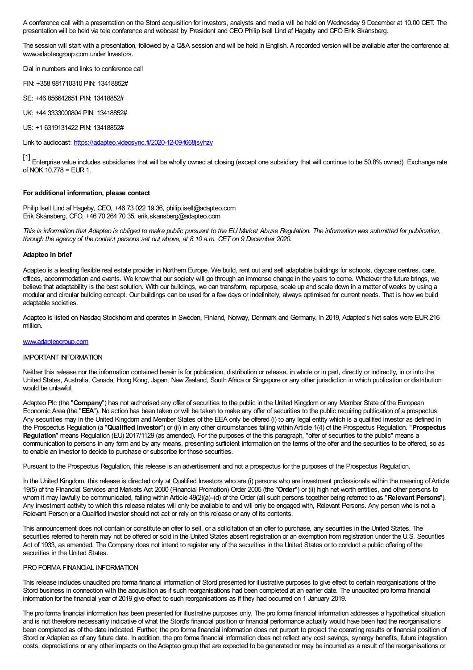A conference call with a presentation on the Stord acquisition for investors, analysts and media will be held on Wednesday 9 December at 10.00 CET. The presentation will be held via tele conference and webcast by President and CEO Philip Isell Lind af Hageby and CFO Erik Skånsberg.

The session will start with a presentation, followed by a Q&A session and will be held in English. A recorded version will be available after the conference at www.adapteogroup.com under Investors.

Dial in numbers and links to conference call

FIN: +358 981710310 PIN: 13418852#

SE: +46 856642651 PIN: 13418852#

UK: +44 3333000804 PIN: 13418852#

US: +1 6319131422 PIN: 13418852#

Link to audiocast: https://adapteo.videosync.fi/2020-12-09-f668jsyhzy

[1] Enterprise value includes subsidiaries that will be wholly owned at closing (except one subsidiary that will continue to be 50.8% owned). Exchange rate of NOK  $10.778$  = EUR 1.

### For additional information, please contact

Philip Isell Lind af Hageby, CEO, +46 73 022 19 36, philip.isell@adapteo.com Erik Skånsberg, CFO, +46 70 264 70 35, erik.skansberg@adapteo.com

This is information that Adapteo is obliged to make public pursuant to the EU Market Abuse Regulation. The information was submitted for publication, through the agency of the contact persons set out above, at 8.10 a.m. CET on 9 December 2020.

#### Adapteo in brief

Adapteo is a leading flexible real estate provider in Northern Europe. We build, rent out and sell adaptable buildings for schools, daycare centres, care, offices, accommodation and events. We know that our society will go through an immense change in the years to come. Whatever the future brings, we believe that adaptability is the best solution. With our buildings, we can transform, repurpose, scale up and scale down in a matter of weeks by using a modular and circular building concept. Our buildings can be used for a few days or indefinitely, always optimised for current needs. That is how we build adaptable societies.

Adapteo is listed on Nasdaq Stockholm and operates in Sweden, Finland, Norway, Denmark and Germany. In 2019, Adapteo's Net sales were EUR216 million.

#### www.adapteogroup.com

#### IMPORTANT INFORMATION

Neither this release nor the information contained herein is for publication, distribution or release, in whole or in part, directly or indirectly, in or into the United States, Australia, Canada, Hong Kong, Japan, New Zealand, SouthAfrica or Singapore or any other jurisdiction in which publication or distribution would be unlawful.

Adapteo Plc (the "Company") has not authorised any offer of securities to the public in the United Kingdom or any Member State of the European Economic Area (the "EEA"). No action has been taken or will be taken to make any offer of securities to the public requiring publication of a prospectus. Any securities may in the United Kingdom and Member States of the EEA only be offered (i) to any legal entity which is a qualified investor as defined in the Prospectus Regulation (a "Qualified Investor") or (ii) in any other circumstances falling within Article 1(4) of the Prospectus Regulation. "Prospectus Regulation" means Regulation (EU) 2017/1129 (as amended). For the purposes of the this paragraph, "offer of securities to the public" means a communication to persons in any form and by any means, presenting sufficient information on the terms of the offer and the securities to be offered, so as to enable an investor to decide to purchase or subscribe for those securities.

Pursuant to the Prospectus Regulation, this release is an advertisement and not a prospectus for the purposes of the Prospectus Regulation.

In the United Kingdom, this release is directed only at Qualified Investors who are (i) persons who are investment professionals within the meaning of Article 19(5) of the Financial Services and Markets Act 2000 (Financial Promotion) Order 2005 (the "Order") or (ii) high net worth entities, and other persons to whom it may lawfully be communicated, falling within Article 49(2)(a)–(d) of the Order (all such persons together being referred to as "Relevant Persons"). Any investment activity to which this release relates will only be available to and will only be engaged with, Relevant Persons. Any person who is not a Relevant Person or a Qualified Investor should not act or rely on this release or any of its contents.

This announcement does not contain or constitute an offer to sell, or a solicitation of an offer to purchase, any securities in the United States. The securities referred to herein may not be offered or sold in the United States absent registration or an exemption from registration under the U.S. Securities Act of 1933, as amended. The Company does not intend to register any of the securities in the United States or to conduct a public offering of the securities in the United States.

#### PRO FORMA FINANCIAL INFORMATION

This release includes unaudited pro forma financial information of Stord presented for illustrative purposes to give effect to certain reorganisations of the Stord business in connection with the acquisition as if such reorganisations had been completed at an earlier date. The unaudited pro forma financial information for the financial year of 2019 give effect to such reorganisations as if they had occurred on 1 January 2019.

The pro forma financial information has been presented for illustrative purposes only. The pro forma financial information addresses a hypothetical situation and is not therefore necessarily indicative of what the Stord's financial position or financial performance actually would have been had the reorganisations been completed as of the date indicated. Further, the pro forma financial information does not purport to project the operating results or financial position of Stord or Adapteo as of any future date. In addition, the pro forma financial information does not reflect any cost savings, synergy benefits, future integration costs, depreciations or any other impacts on theAdapteo group that are expected to be generated or may be incurred as a result of the reorganisations or